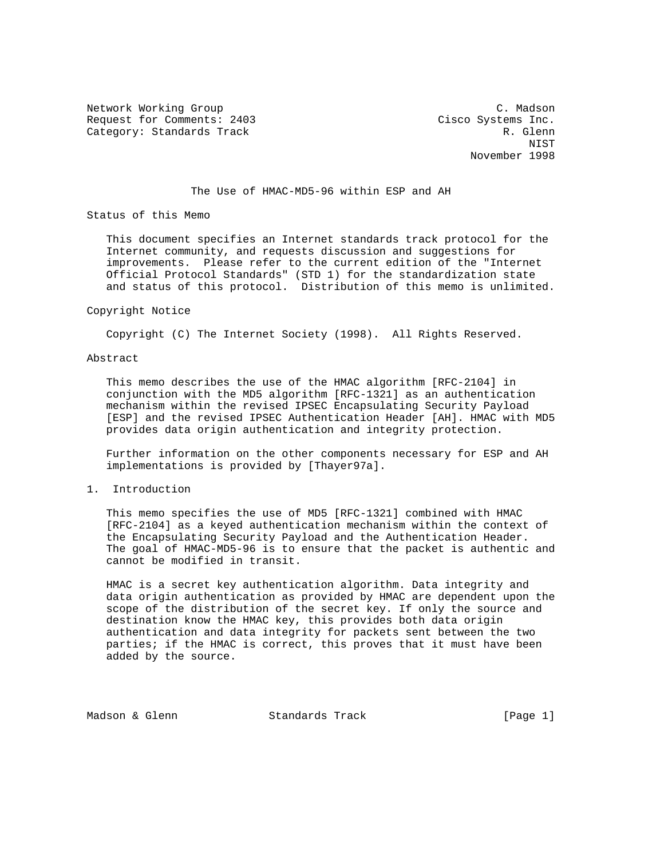Network Working Group C. Madson Request for Comments: 2403 Cisco Systems Inc. Category: Standards Track R. Glenn

 NIST November 1998

### The Use of HMAC-MD5-96 within ESP and AH

Status of this Memo

 This document specifies an Internet standards track protocol for the Internet community, and requests discussion and suggestions for improvements. Please refer to the current edition of the "Internet Official Protocol Standards" (STD 1) for the standardization state and status of this protocol. Distribution of this memo is unlimited.

#### Copyright Notice

Copyright (C) The Internet Society (1998). All Rights Reserved.

### Abstract

 This memo describes the use of the HMAC algorithm [RFC-2104] in conjunction with the MD5 algorithm [RFC-1321] as an authentication mechanism within the revised IPSEC Encapsulating Security Payload [ESP] and the revised IPSEC Authentication Header [AH]. HMAC with MD5 provides data origin authentication and integrity protection.

 Further information on the other components necessary for ESP and AH implementations is provided by [Thayer97a].

1. Introduction

 This memo specifies the use of MD5 [RFC-1321] combined with HMAC [RFC-2104] as a keyed authentication mechanism within the context of the Encapsulating Security Payload and the Authentication Header. The goal of HMAC-MD5-96 is to ensure that the packet is authentic and cannot be modified in transit.

 HMAC is a secret key authentication algorithm. Data integrity and data origin authentication as provided by HMAC are dependent upon the scope of the distribution of the secret key. If only the source and destination know the HMAC key, this provides both data origin authentication and data integrity for packets sent between the two parties; if the HMAC is correct, this proves that it must have been added by the source.

Madson & Glenn Standards Track [Page 1]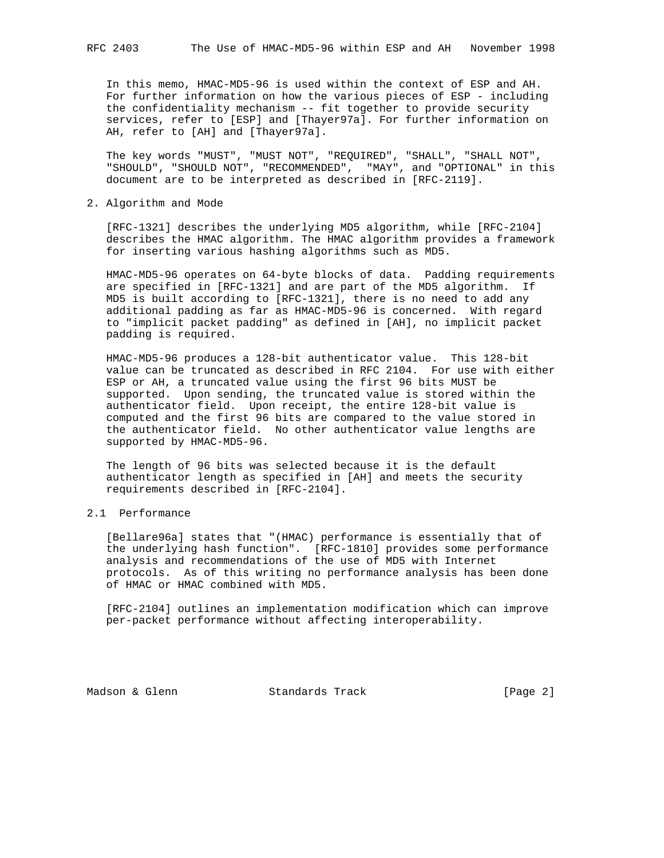In this memo, HMAC-MD5-96 is used within the context of ESP and AH. For further information on how the various pieces of ESP - including the confidentiality mechanism -- fit together to provide security services, refer to [ESP] and [Thayer97a]. For further information on AH, refer to [AH] and [Thayer97a].

 The key words "MUST", "MUST NOT", "REQUIRED", "SHALL", "SHALL NOT", "SHOULD", "SHOULD NOT", "RECOMMENDED", "MAY", and "OPTIONAL" in this document are to be interpreted as described in [RFC-2119].

2. Algorithm and Mode

 [RFC-1321] describes the underlying MD5 algorithm, while [RFC-2104] describes the HMAC algorithm. The HMAC algorithm provides a framework for inserting various hashing algorithms such as MD5.

HMAC-MD5-96 operates on 64-byte blocks of data. Padding requirements are specified in [RFC-1321] and are part of the MD5 algorithm. If MD5 is built according to [RFC-1321], there is no need to add any additional padding as far as HMAC-MD5-96 is concerned. With regard to "implicit packet padding" as defined in [AH], no implicit packet padding is required.

 HMAC-MD5-96 produces a 128-bit authenticator value. This 128-bit value can be truncated as described in RFC 2104. For use with either ESP or AH, a truncated value using the first 96 bits MUST be supported. Upon sending, the truncated value is stored within the authenticator field. Upon receipt, the entire 128-bit value is computed and the first 96 bits are compared to the value stored in the authenticator field. No other authenticator value lengths are supported by HMAC-MD5-96.

 The length of 96 bits was selected because it is the default authenticator length as specified in [AH] and meets the security requirements described in [RFC-2104].

## 2.1 Performance

 [Bellare96a] states that "(HMAC) performance is essentially that of the underlying hash function". [RFC-1810] provides some performance analysis and recommendations of the use of MD5 with Internet protocols. As of this writing no performance analysis has been done of HMAC or HMAC combined with MD5.

 [RFC-2104] outlines an implementation modification which can improve per-packet performance without affecting interoperability.

Madson & Glenn Standards Track [Page 2]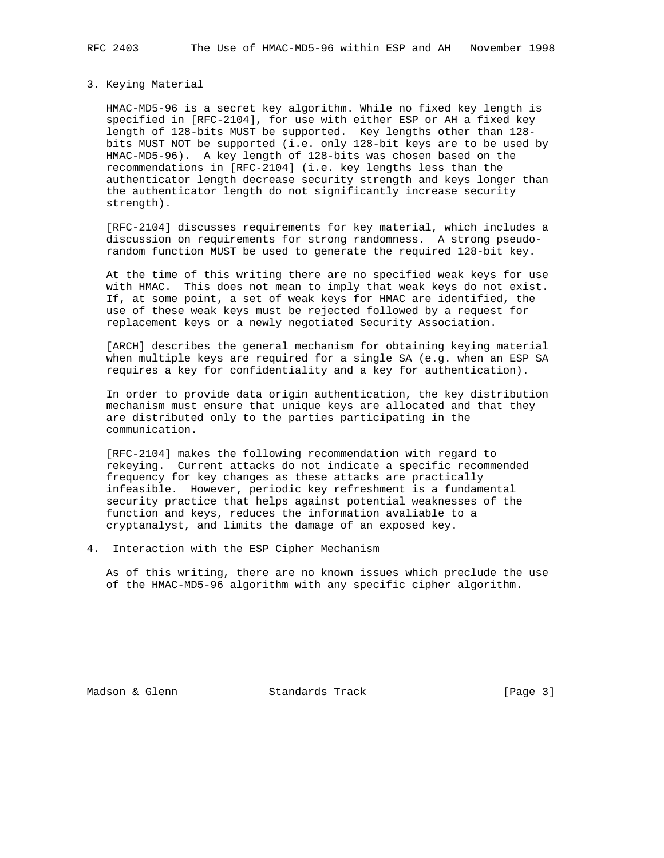# 3. Keying Material

 HMAC-MD5-96 is a secret key algorithm. While no fixed key length is specified in [RFC-2104], for use with either ESP or AH a fixed key length of 128-bits MUST be supported. Key lengths other than 128 bits MUST NOT be supported (i.e. only 128-bit keys are to be used by HMAC-MD5-96). A key length of 128-bits was chosen based on the recommendations in [RFC-2104] (i.e. key lengths less than the authenticator length decrease security strength and keys longer than the authenticator length do not significantly increase security strength).

 [RFC-2104] discusses requirements for key material, which includes a discussion on requirements for strong randomness. A strong pseudo random function MUST be used to generate the required 128-bit key.

 At the time of this writing there are no specified weak keys for use with HMAC. This does not mean to imply that weak keys do not exist. If, at some point, a set of weak keys for HMAC are identified, the use of these weak keys must be rejected followed by a request for replacement keys or a newly negotiated Security Association.

 [ARCH] describes the general mechanism for obtaining keying material when multiple keys are required for a single SA (e.g. when an ESP SA requires a key for confidentiality and a key for authentication).

 In order to provide data origin authentication, the key distribution mechanism must ensure that unique keys are allocated and that they are distributed only to the parties participating in the communication.

 [RFC-2104] makes the following recommendation with regard to rekeying. Current attacks do not indicate a specific recommended frequency for key changes as these attacks are practically infeasible. However, periodic key refreshment is a fundamental security practice that helps against potential weaknesses of the function and keys, reduces the information avaliable to a cryptanalyst, and limits the damage of an exposed key.

4. Interaction with the ESP Cipher Mechanism

 As of this writing, there are no known issues which preclude the use of the HMAC-MD5-96 algorithm with any specific cipher algorithm.

Madson & Glenn Standards Track [Page 3]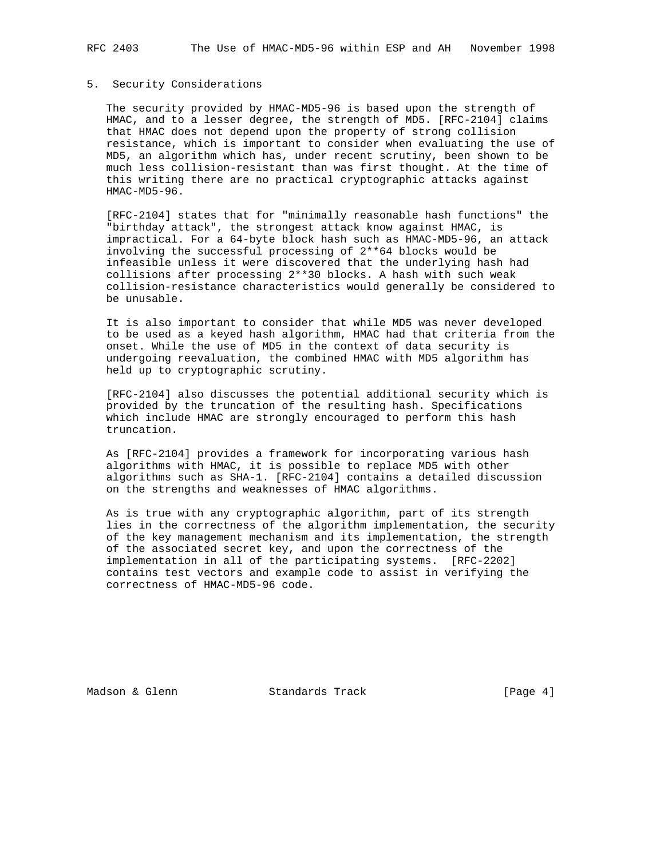### 5. Security Considerations

 The security provided by HMAC-MD5-96 is based upon the strength of HMAC, and to a lesser degree, the strength of MD5. [RFC-2104] claims that HMAC does not depend upon the property of strong collision resistance, which is important to consider when evaluating the use of MD5, an algorithm which has, under recent scrutiny, been shown to be much less collision-resistant than was first thought. At the time of this writing there are no practical cryptographic attacks against HMAC-MD5-96.

 [RFC-2104] states that for "minimally reasonable hash functions" the "birthday attack", the strongest attack know against HMAC, is impractical. For a 64-byte block hash such as HMAC-MD5-96, an attack involving the successful processing of 2\*\*64 blocks would be infeasible unless it were discovered that the underlying hash had collisions after processing 2\*\*30 blocks. A hash with such weak collision-resistance characteristics would generally be considered to be unusable.

 It is also important to consider that while MD5 was never developed to be used as a keyed hash algorithm, HMAC had that criteria from the onset. While the use of MD5 in the context of data security is undergoing reevaluation, the combined HMAC with MD5 algorithm has held up to cryptographic scrutiny.

 [RFC-2104] also discusses the potential additional security which is provided by the truncation of the resulting hash. Specifications which include HMAC are strongly encouraged to perform this hash truncation.

 As [RFC-2104] provides a framework for incorporating various hash algorithms with HMAC, it is possible to replace MD5 with other algorithms such as SHA-1. [RFC-2104] contains a detailed discussion on the strengths and weaknesses of HMAC algorithms.

 As is true with any cryptographic algorithm, part of its strength lies in the correctness of the algorithm implementation, the security of the key management mechanism and its implementation, the strength of the associated secret key, and upon the correctness of the implementation in all of the participating systems. [RFC-2202] contains test vectors and example code to assist in verifying the correctness of HMAC-MD5-96 code.

Madson & Glenn Standards Track [Page 4]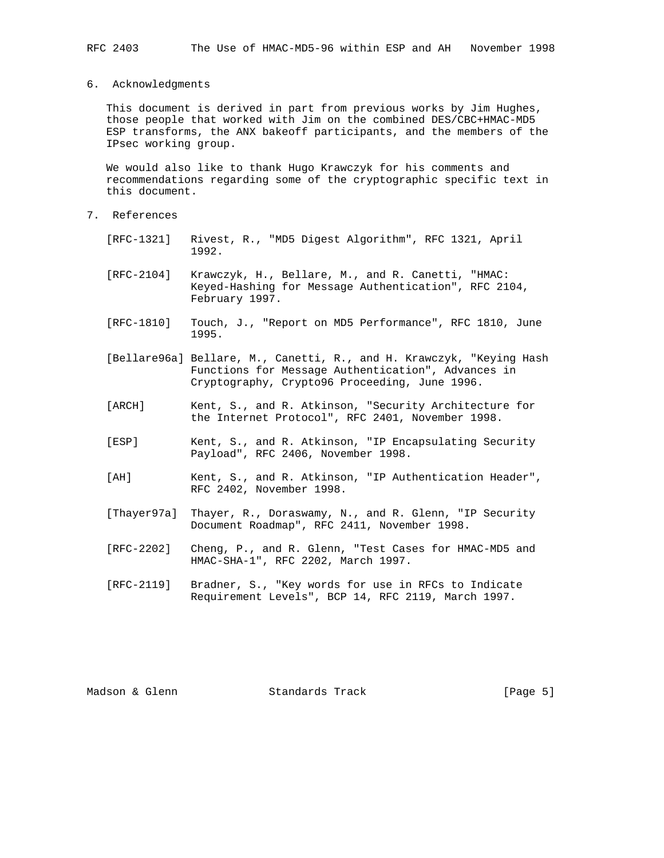This document is derived in part from previous works by Jim Hughes, those people that worked with Jim on the combined DES/CBC+HMAC-MD5 ESP transforms, the ANX bakeoff participants, and the members of the IPsec working group.

 We would also like to thank Hugo Krawczyk for his comments and recommendations regarding some of the cryptographic specific text in this document.

- 7. References
	- [RFC-1321] Rivest, R., "MD5 Digest Algorithm", RFC 1321, April 1992.
	- [RFC-2104] Krawczyk, H., Bellare, M., and R. Canetti, "HMAC: Keyed-Hashing for Message Authentication", RFC 2104, February 1997.
	- [RFC-1810] Touch, J., "Report on MD5 Performance", RFC 1810, June 1995.
	- [Bellare96a] Bellare, M., Canetti, R., and H. Krawczyk, "Keying Hash Functions for Message Authentication", Advances in Cryptography, Crypto96 Proceeding, June 1996.
	- [ARCH] Kent, S., and R. Atkinson, "Security Architecture for the Internet Protocol", RFC 2401, November 1998.
	- [ESP] Kent, S., and R. Atkinson, "IP Encapsulating Security Payload", RFC 2406, November 1998.
	- [AH] Kent, S., and R. Atkinson, "IP Authentication Header", RFC 2402, November 1998.
	- [Thayer97a] Thayer, R., Doraswamy, N., and R. Glenn, "IP Security Document Roadmap", RFC 2411, November 1998.
	- [RFC-2202] Cheng, P., and R. Glenn, "Test Cases for HMAC-MD5 and HMAC-SHA-1", RFC 2202, March 1997.
	- [RFC-2119] Bradner, S., "Key words for use in RFCs to Indicate Requirement Levels", BCP 14, RFC 2119, March 1997.

Madson & Glenn Standards Track [Page 5]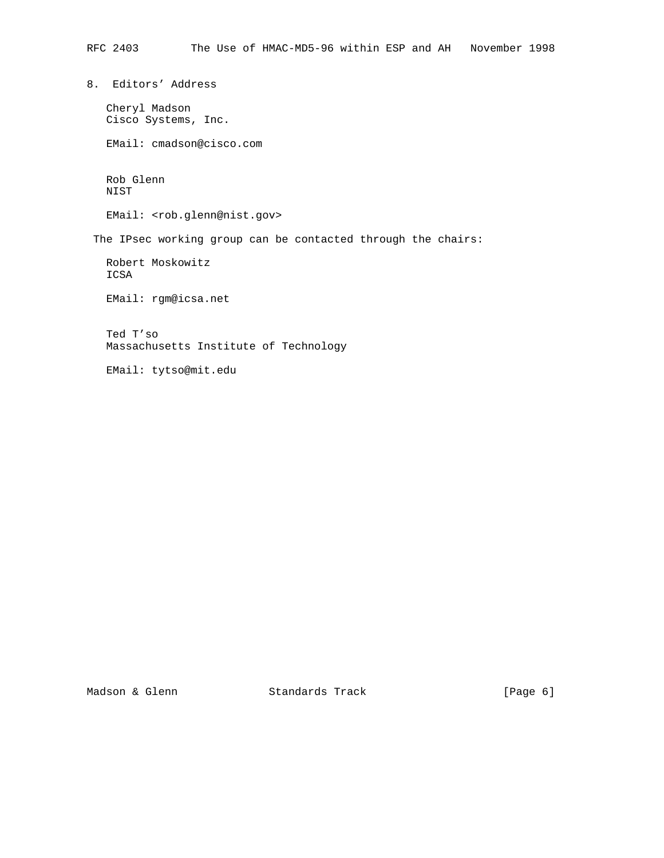8. Editors' Address

 Cheryl Madson Cisco Systems, Inc.

EMail: cmadson@cisco.com

 Rob Glenn NIST

EMail: <rob.glenn@nist.gov>

The IPsec working group can be contacted through the chairs:

 Robert Moskowitz ICSA

EMail: rgm@icsa.net

 Ted T'so Massachusetts Institute of Technology

EMail: tytso@mit.edu

Madson & Glenn Standards Track [Page 6]